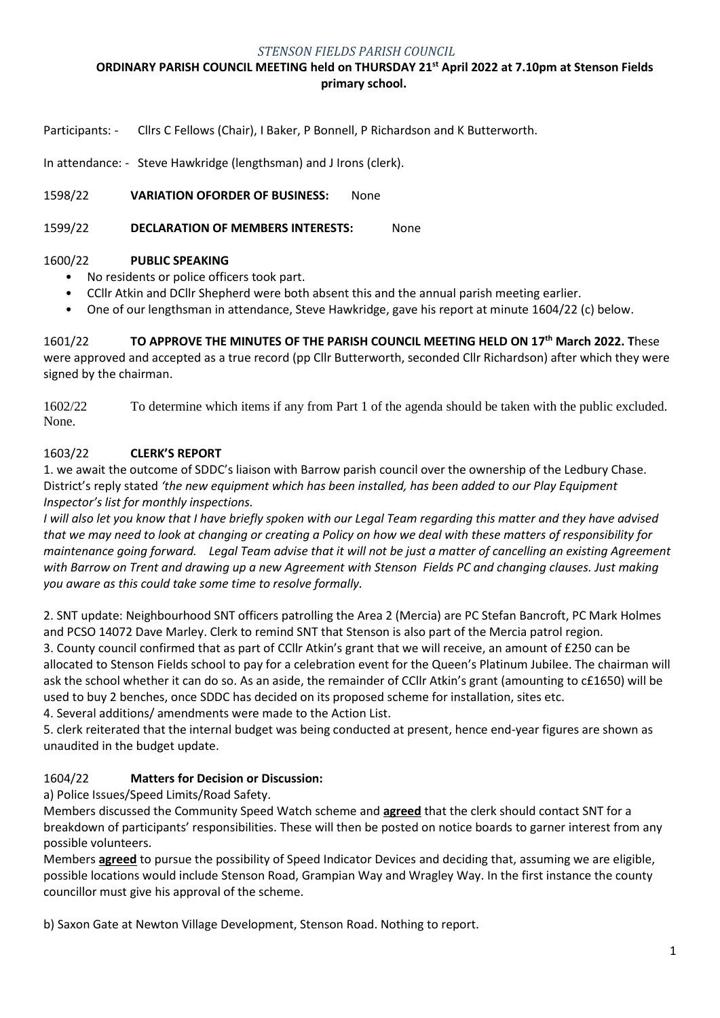### *STENSON FIELDS PARISH COUNCIL*

# **ORDINARY PARISH COUNCIL MEETING held on THURSDAY 21 st April 2022 at 7.10pm at Stenson Fields primary school.**

Participants: - Cllrs C Fellows (Chair), I Baker, P Bonnell, P Richardson and K Butterworth.

In attendance: - Steve Hawkridge (lengthsman) and J Irons (clerk).

1598/22 **VARIATION OFORDER OF BUSINESS:** None

1599/22 **DECLARATION OF MEMBERS INTERESTS:** None

### 1600/22 **PUBLIC SPEAKING**

- No residents or police officers took part.
- CCllr Atkin and DCllr Shepherd were both absent this and the annual parish meeting earlier.
- One of our lengthsman in attendance, Steve Hawkridge, gave his report at minute 1604/22 (c) below.

1601/22 **TO APPROVE THE MINUTES OF THE PARISH COUNCIL MEETING HELD ON 17 th March 2022. T**hese were approved and accepted as a true record (pp Cllr Butterworth, seconded Cllr Richardson) after which they were signed by the chairman.

1602/22 To determine which items if any from Part 1 of the agenda should be taken with the public excluded. None.

### 1603/22 **CLERK'S REPORT**

1. we await the outcome of SDDC's liaison with Barrow parish council over the ownership of the Ledbury Chase. District's reply stated *'the new equipment which has been installed, has been added to our Play Equipment Inspector's list for monthly inspections.*

*I* will also let you know that *I* have briefly spoken with our Legal Team regarding this matter and they have advised *that we may need to look at changing or creating a Policy on how we deal with these matters of responsibility for maintenance going forward. Legal Team advise that it will not be just a matter of cancelling an existing Agreement with Barrow on Trent and drawing up a new Agreement with Stenson Fields PC and changing clauses. Just making you aware as this could take some time to resolve formally.*

2. SNT update: Neighbourhood SNT officers patrolling the Area 2 (Mercia) are PC Stefan Bancroft, PC Mark Holmes and PCSO 14072 Dave Marley. Clerk to remind SNT that Stenson is also part of the Mercia patrol region. 3. County council confirmed that as part of CCllr Atkin's grant that we will receive, an amount of £250 can be allocated to Stenson Fields school to pay for a celebration event for the Queen's Platinum Jubilee. The chairman will ask the school whether it can do so. As an aside, the remainder of CCllr Atkin's grant (amounting to c£1650) will be used to buy 2 benches, once SDDC has decided on its proposed scheme for installation, sites etc.

4. Several additions/ amendments were made to the Action List.

5. clerk reiterated that the internal budget was being conducted at present, hence end-year figures are shown as unaudited in the budget update.

## 1604/22 **Matters for Decision or Discussion:**

a) Police Issues/Speed Limits/Road Safety.

Members discussed the Community Speed Watch scheme and **agreed** that the clerk should contact SNT for a breakdown of participants' responsibilities. These will then be posted on notice boards to garner interest from any possible volunteers.

Members **agreed** to pursue the possibility of Speed Indicator Devices and deciding that, assuming we are eligible, possible locations would include Stenson Road, Grampian Way and Wragley Way. In the first instance the county councillor must give his approval of the scheme.

b) Saxon Gate at Newton Village Development, Stenson Road. Nothing to report.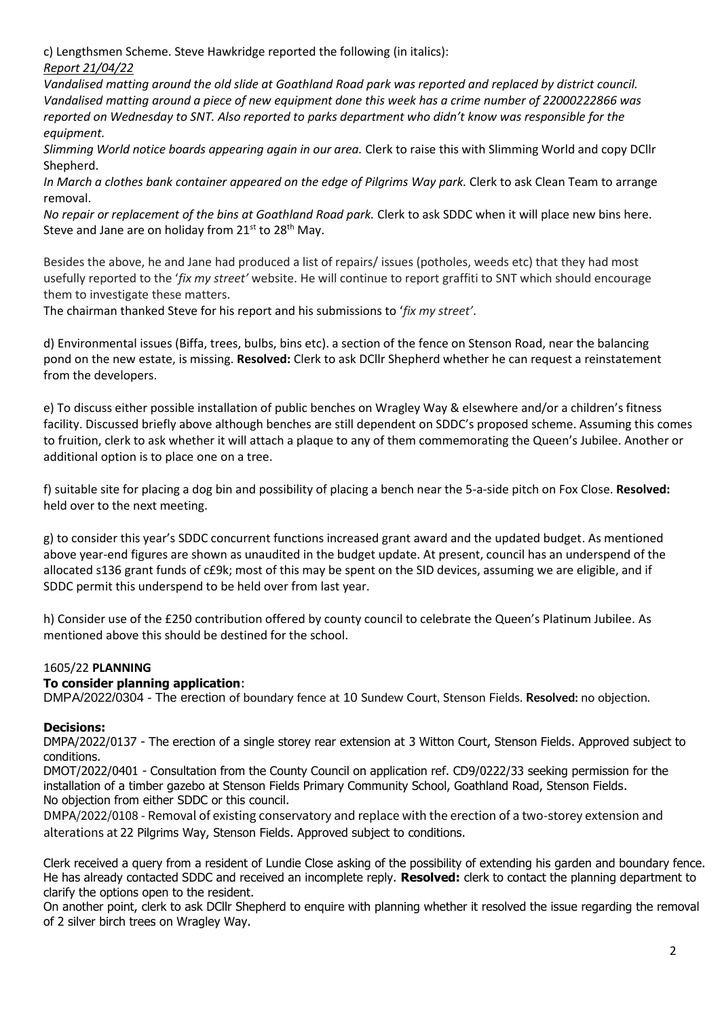c) Lengthsmen Scheme. Steve Hawkridge reported the following (in italics): *Report 21/04/22*

*Vandalised matting around the old slide at Goathland Road park was reported and replaced by district council. Vandalised matting around a piece of new equipment done this week has a crime number of 22000222866 was reported on Wednesday to SNT. Also reported to parks department who didn't know was responsible for the equipment.*

*Slimming World notice boards appearing again in our area.* Clerk to raise this with Slimming World and copy DCllr Shepherd.

*In March a clothes bank container appeared on the edge of Pilgrims Way park.* Clerk to ask Clean Team to arrange removal.

*No repair or replacement of the bins at Goathland Road park.* Clerk to ask SDDC when it will place new bins here. Steve and Jane are on holiday from  $21^{st}$  to  $28^{th}$  May.

Besides the above, he and Jane had produced a list of repairs/ issues (potholes, weeds etc) that they had most usefully reported to the '*fix my street'* website. He will continue to report graffiti to SNT which should encourage them to investigate these matters.

The chairman thanked Steve for his report and his submissions to '*fix my street'*.

d) Environmental issues (Biffa, trees, bulbs, bins etc). a section of the fence on Stenson Road, near the balancing pond on the new estate, is missing. **Resolved:** Clerk to ask DCllr Shepherd whether he can request a reinstatement from the developers.

e) To discuss either possible installation of public benches on Wragley Way & elsewhere and/or a children's fitness facility. Discussed briefly above although benches are still dependent on SDDC's proposed scheme. Assuming this comes to fruition, clerk to ask whether it will attach a plaque to any of them commemorating the Queen's Jubilee. Another or additional option is to place one on a tree.

f) suitable site for placing a dog bin and possibility of placing a bench near the 5-a-side pitch on Fox Close. **Resolved:** held over to the next meeting.

g) to consider this year's SDDC concurrent functions increased grant award and the updated budget. As mentioned above year-end figures are shown as unaudited in the budget update. At present, council has an underspend of the allocated s136 grant funds of c£9k; most of this may be spent on the SID devices, assuming we are eligible, and if SDDC permit this underspend to be held over from last year.

h) Consider use of the £250 contribution offered by county council to celebrate the Queen's Platinum Jubilee. As mentioned above this should be destined for the school.

## 1605/22 **PLANNING**

## **To consider planning application**:

DMPA/2022/0304 - The erection of boundary fence at 10 Sundew Court, Stenson Fields. **Resolved:** no objection.

#### **Decisions:**

DMPA/2022/0137 - The erection of a single storey rear extension at 3 Witton Court, Stenson Fields. Approved subject to conditions.

DMOT/2022/0401 - Consultation from the County Council on application ref. CD9/0222/33 seeking permission for the installation of a timber gazebo at Stenson Fields Primary Community School, Goathland Road, Stenson Fields. No objection from either SDDC or this council.

DMPA/2022/0108 - Removal of existing conservatory and replace with the erection of a two-storey extension and alterations at 22 Pilgrims Way, Stenson Fields. Approved subject to conditions.

Clerk received a query from a resident of Lundie Close asking of the possibility of extending his garden and boundary fence. He has already contacted SDDC and received an incomplete reply. **Resolved:** clerk to contact the planning department to clarify the options open to the resident.

On another point, clerk to ask DCllr Shepherd to enquire with planning whether it resolved the issue regarding the removal of 2 silver birch trees on Wragley Way.